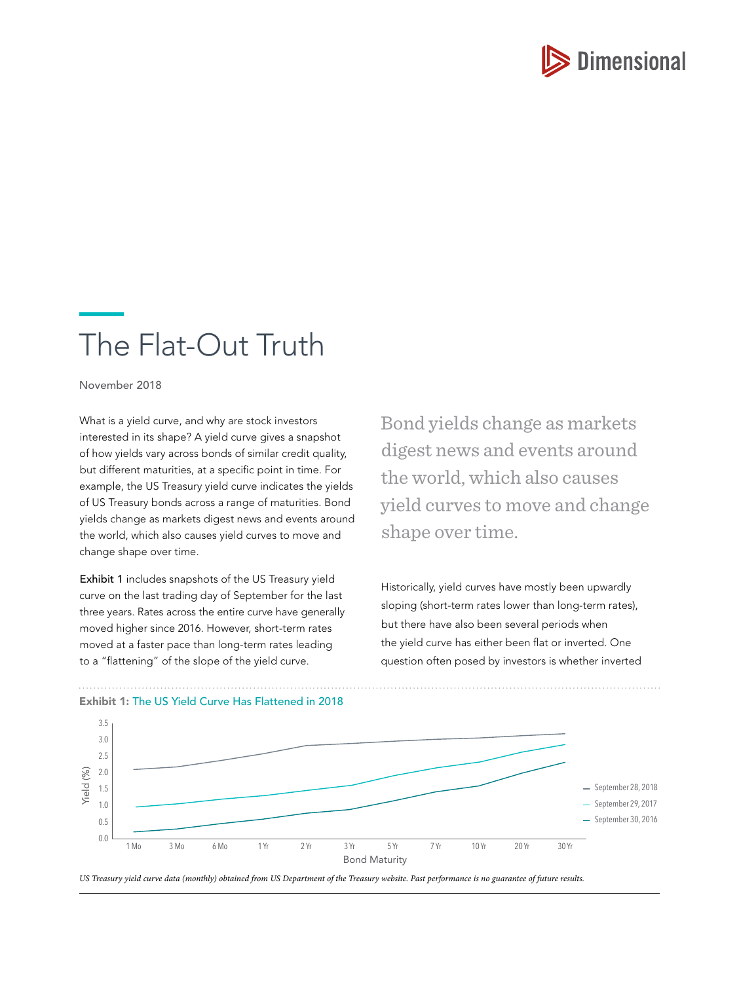

# The Flat-Out Truth

November 2018

What is a yield curve, and why are stock investors interested in its shape? A yield curve gives a snapshot of how yields vary across bonds of similar credit quality, but different maturities, at a specific point in time. For example, the US Treasury yield curve indicates the yields of US Treasury bonds across a range of maturities. Bond yields change as markets digest news and events around the world, which also causes yield curves to move and change shape over time.

Exhibit 1 includes snapshots of the US Treasury yield curve on the last trading day of September for the last three years. Rates across the entire curve have generally moved higher since 2016. However, short-term rates moved at a faster pace than long-term rates leading to a "flattening" of the slope of the yield curve.

Bond yields change as markets digest news and events around the world, which also causes yield curves to move and change shape over time.

Historically, yield curves have mostly been upwardly sloping (short-term rates lower than long-term rates), but there have also been several periods when the yield curve has either been flat or inverted. One question often posed by investors is whether inverted



Exhibit 1: The US Yield Curve Has Flattened in 2018

US Treasury yield curve data (monthly) obtained from US Department of the Treasury website. Past performance is no guarantee of future results.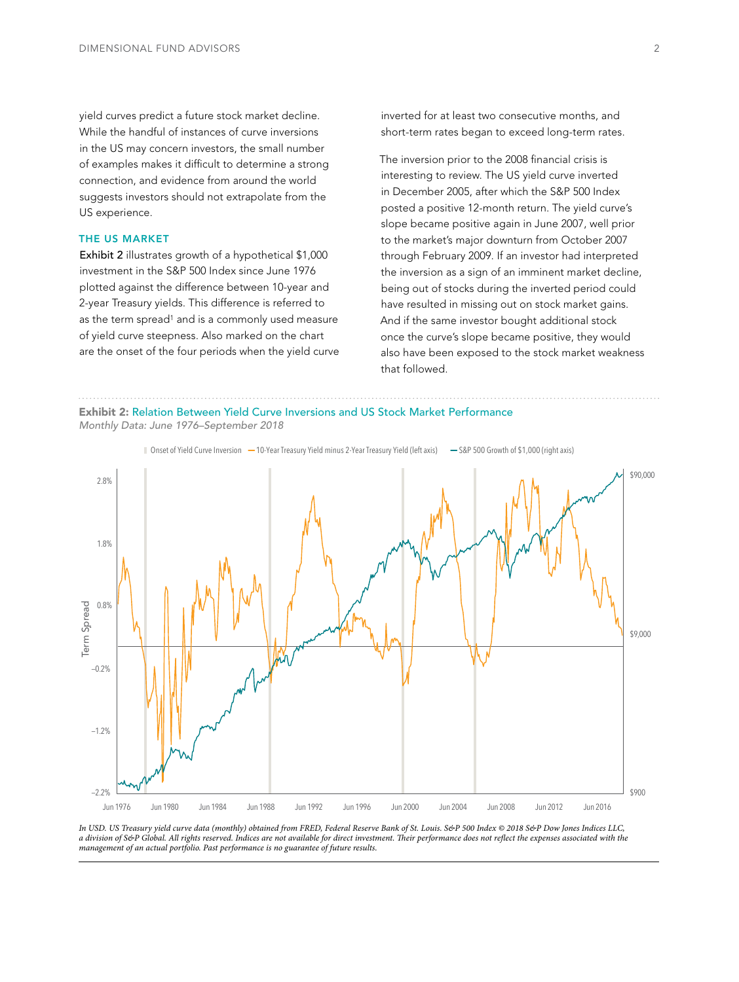yield curves predict a future stock market decline. While the handful of instances of curve inversions in the US may concern investors, the small number of examples makes it difficult to determine a strong connection, and evidence from around the world suggests investors should not extrapolate from the US experience.

#### THE US MARKET

Exhibit 2 illustrates growth of a hypothetical \$1,000 investment in the S&P 500 Index since June 1976 plotted against the difference between 10-year and 2-year Treasury yields. This difference is referred to as the term spread<sup>1</sup> and is a commonly used measure of yield curve steepness. Also marked on the chart are the onset of the four periods when the yield curve inverted for at least two consecutive months, and short-term rates began to exceed long-term rates.

The inversion prior to the 2008 financial crisis is interesting to review. The US yield curve inverted in December 2005, after which the S&P 500 Index posted a positive 12-month return. The yield curve's slope became positive again in June 2007, well prior to the market's major downturn from October 2007 through February 2009. If an investor had interpreted the inversion as a sign of an imminent market decline, being out of stocks during the inverted period could have resulted in missing out on stock market gains. And if the same investor bought additional stock once the curve's slope became positive, they would also have been exposed to the stock market weakness that followed.

Exhibit 2: Relation Between Yield Curve Inversions and US Stock Market Performance

Monthly Data: June 1976–September 2018



In USD. US Treasury yield curve data (monthly) obtained from FRED, Federal Reserve Bank of St. Louis. S&P 500 Index © 2018 S&P Dow Jones Indices LLC, a division of S&P Global. All rights reserved. Indices are not available for direct investment. Their performance does not reflect the expenses associated with the management of an actual portfolio. Past performance is no guarantee of future results.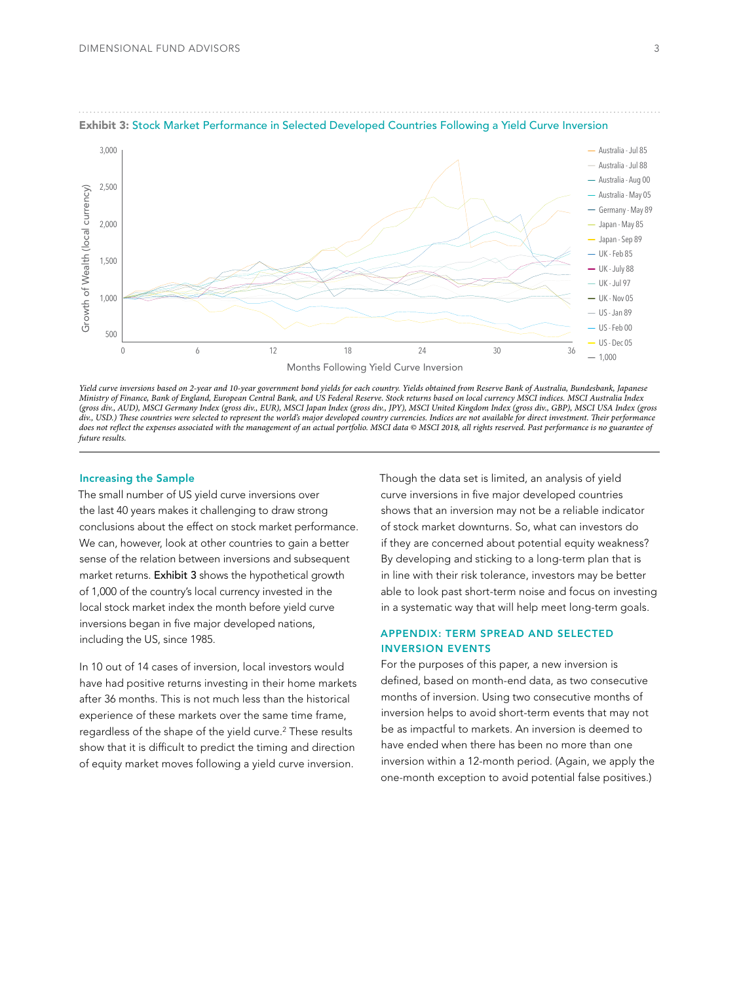

#### Exhibit 3: Stock Market Performance in Selected Developed Countries Following a Yield Curve Inversion

Yield curve inversions based on 2-year and 10-year government bond yields for each country. Yields obtained from Reserve Bank of Australia, Bundesbank, Japanese Ministry of Finance, Bank of England, European Central Bank, and US Federal Reserve. Stock returns based on local currency MSCI indices. MSCI Australia Index (gross div., AUD), MSCI Germany Index (gross div., EUR), MSCI Japan Index (gross div., JPY), MSCI United Kingdom Index (gross div., GBP), MSCI USA Index (gross div., USD.) These countries were selected to represent the world's major developed country currencies. Indices are not available for direct investment. Their performance does not reflect the expenses associated with the management of an actual portfolio. MSCI data © MSCI 2018, all rights reserved. Past performance is no guarantee of future results

## Increasing the Sample

The small number of US yield curve inversions over the last 40 years makes it challenging to draw strong conclusions about the effect on stock market performance. We can, however, look at other countries to gain a better sense of the relation between inversions and subsequent market returns. Exhibit 3 shows the hypothetical growth of 1,000 of the country's local currency invested in the local stock market index the month before yield curve inversions began in five major developed nations, including the US, since 1985.

In 10 out of 14 cases of inversion, local investors would have had positive returns investing in their home markets after 36 months. This is not much less than the historical experience of these markets over the same time frame, regardless of the shape of the yield curve.2 These results show that it is difficult to predict the timing and direction of equity market moves following a yield curve inversion.

Though the data set is limited, an analysis of yield curve inversions in five major developed countries shows that an inversion may not be a reliable indicator of stock market downturns. So, what can investors do if they are concerned about potential equity weakness? By developing and sticking to a long-term plan that is in line with their risk tolerance, investors may be better able to look past short-term noise and focus on investing in a systematic way that will help meet long-term goals.

# APPENDIX: TERM SPREAD AND SELECTED INVERSION EVENTS

For the purposes of this paper, a new inversion is defined, based on month-end data, as two consecutive months of inversion. Using two consecutive months of inversion helps to avoid short-term events that may not be as impactful to markets. An inversion is deemed to have ended when there has been no more than one inversion within a 12-month period. (Again, we apply the one-month exception to avoid potential false positives.)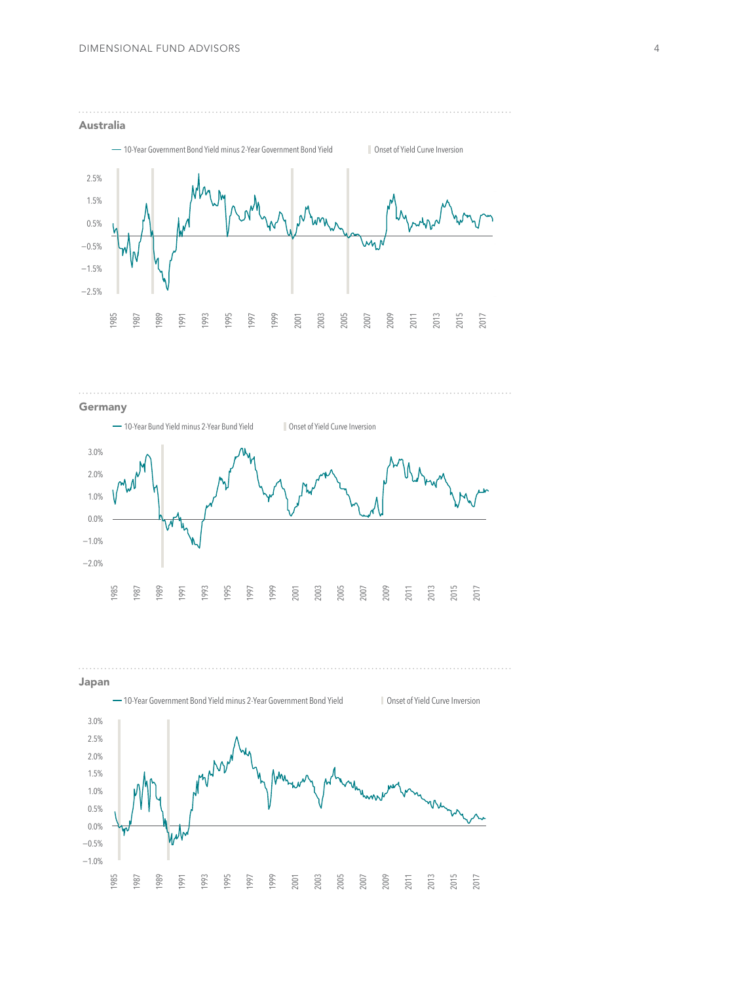